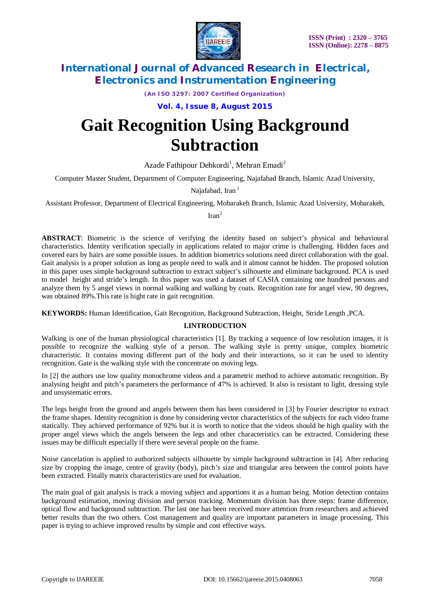



*(An ISO 3297: 2007 Certified Organization)*

**Vol. 4, Issue 8, August 2015**

# **Gait Recognition Using Background Subtraction**

Azade Fathipour Dehkordi<sup>1</sup>, Mehran Emadi<sup>2</sup>

Computer Master Student, Department of Computer Engineering, Najafabad Branch, Islamic Azad University,

Najafabad, Iran<sup>1</sup>

Assistant Professor, Department of Electrical Engineering, Mobarakeh Branch, Islamic Azad University, Mobarakeh,

 $\text{Iran}^2$ 

**ABSTRACT**: Biometric is the science of verifying the identity based on subject's physical and behavioural characteristics. Identity verification specially in applications related to major crime is challenging. Hidden faces and covered ears by hairs are some possible issues. In addition biometrics solutions need direct collaboration with the goal. Gait analysis is a proper solution as long as people need to walk and it almost cannot be hidden. The proposed solution in this paper uses simple background subtraction to extract subject's silhouette and eliminate background. PCA is used to model height and stride's length. In this paper was used a dataset of CASIA containing one hundred persons and analyze them by 5 angel views in normal walking and walking by coats. Recognition rate for angel view, 90 degrees, was obtained 89%.This rate is hight rate in gait recognition.

**KEYWORDS:** Human Identification, Gait Recognition, Background Subtraction, Height, Stride Length ,PCA.

# **I.INTRODUCTION**

Walking is one of the human physiological characteristics [1]. By tracking a sequence of low resolution images, it is possible to recognize the walking style of a person. The walking style is pretty unique, complex biometric characteristic. It contains moving different part of the body and their interactions, so it can be used to identity recognition. Gate is the walking style with the concentrate on moving legs.

In [2] the authors use low quality monochrome videos and a parametric method to achieve automatic recognition. By analysing height and pitch's parameters the performance of 47% is achieved. It also is resistant to light, dressing style and unsystematic errors.

The legs height from the ground and angels between them has been considered in [3] by Fourier descriptor to extract the frame shapes. Identity recognition is done by considering vector characteristics of the subjects for each video frame statically. They achieved performance of 92% but it is worth to notice that the videos should be high quality with the proper angel views which the angels between the legs and other characteristics can be extracted. Considering these issues may be difficult especially if there were several people on the frame.

Noise cancelation is applied to authorized subjects silhouette by simple background subtraction in [4]. After reducing size by cropping the image, centre of gravity (body), pitch's size and triangular area between the control points have been extracted. Finally matrix characteristics are used for evaluation.

The main goal of gait analysis is track a moving subject and apportions it as a human being. Motion detection contains background estimation, moving division and person tracking. Momentum division has three steps: frame difference, optical flow and background subtraction. The last one has been received more attention from researchers and achieved better results than the two others. Cost management and quality are important parameters in image processing. This paper is trying to achieve improved results by simple and cost effective ways.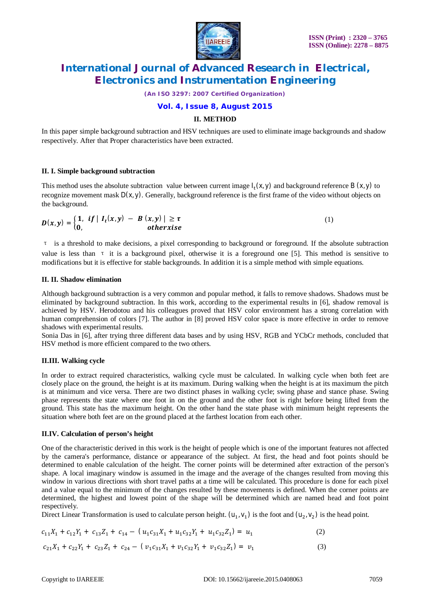

*(An ISO 3297: 2007 Certified Organization)*

## **Vol. 4, Issue 8, August 2015**

# **II. METHOD**

In this paper simple background subtraction and HSV techniques are used to eliminate image backgrounds and shadow respectively. After that Proper characteristics have been extracted.

### **II. I. Simple background subtraction**

This method uses the absolute subtraction value between current image  $I_t(x, y)$  and background reference B  $(x, y)$  to recognize movement mask  $D(x, y)$ . Generally, background reference is the first frame of the video without objects on the background.

$$
D(x,y) = \begin{cases} 1, & \text{if } |I_t(x,y) - B(x,y)| \geq \tau \\ 0, & \text{otherwise} \end{cases}
$$
 (1)

τ is a threshold to make decisions, a pixel corresponding to background or foreground. If the absolute subtraction value is less than  $\tau$  it is a background pixel, otherwise it is a foreground one [5]. This method is sensitive to modifications but it is effective for stable backgrounds. In addition it is a simple method with simple equations.

### **II. II. Shadow elimination**

Although background subtraction is a very common and popular method, it falls to remove shadows. Shadows must be eliminated by background subtraction. In this work, according to the experimental results in [6], shadow removal is achieved by HSV. Herodotou and his colleagues proved that HSV color environment has a strong correlation with human comprehension of colors [7]. The author in [8] proved HSV color space is more effective in order to remove shadows with experimental results.

Sonia Das in [6], after trying three different data bases and by using HSV, RGB and YCbCr methods, concluded that HSV method is more efficient compared to the two others.

## **II.III. Walking cycle**

In order to extract required characteristics, walking cycle must be calculated. In walking cycle when both feet are closely place on the ground, the height is at its maximum. During walking when the height is at its maximum the pitch is at minimum and vice versa. There are two distinct phases in walking cycle; swing phase and stance phase. Swing phase represents the state where one foot in on the ground and the other foot is right before being lifted from the ground. This state has the maximum height. On the other hand the state phase with minimum height represents the situation where both feet are on the ground placed at the farthest location from each other.

#### **II.IV. Calculation of person's height**

One of the characteristic derived in this work is the height of people which is one of the important features not affected by the camera's performance, distance or appearance of the subject. At first, the head and foot points should be determined to enable calculation of the height. The corner points will be determined after extraction of the person's shape. A local imaginary window is assumed in the image and the average of the changes resulted from moving this window in various directions with short travel paths at a time will be calculated. This procedure is done for each pixel and a value equal to the minimum of the changes resulted by these movements is defined. When the corner points are determined, the highest and lowest point of the shape will be determined which are named head and foot point respectively.

Direct Linear Transformation is used to calculate person height.  $(u_1, v_1)$  is the foot and  $(u_2, v_2)$  is the head point.

$$
c_{11}X_1 + c_{12}Y_1 + c_{13}Z_1 + c_{14} - (u_1c_{31}X_1 + u_1c_{32}Y_1 + u_1c_{32}Z_1) = u_1
$$
 (2)

$$
c_{21}X_1 + c_{22}Y_1 + c_{23}Z_1 + c_{24} - (v_1c_{31}X_1 + v_1c_{32}Y_1 + v_1c_{32}Z_1) = v_1
$$
\n(3)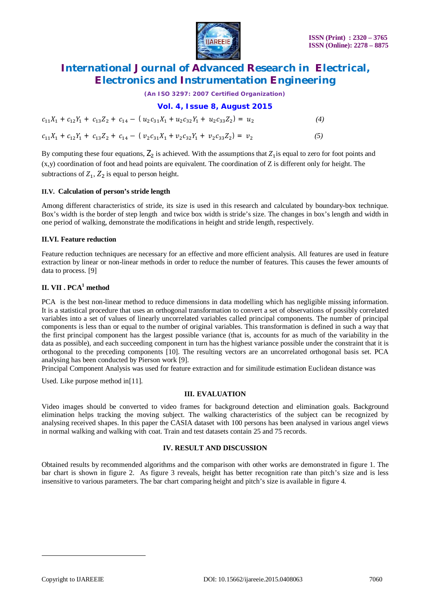

*(An ISO 3297: 2007 Certified Organization)*

**Vol. 4, Issue 8, August 2015**

| $c_{11}X_1 + c_{12}Y_1 + c_{13}Z_2 + c_{14} - (u_2c_{31}X_1 + u_2c_{32}Y_1 + u_2c_{33}Z_2) = u_2$ | (4) |
|---------------------------------------------------------------------------------------------------|-----|
| $c_{11}X_1 + c_{12}Y_1 + c_{13}Z_2 + c_{14} - (v_2c_{31}X_1 + v_2c_{32}Y_1 + v_2c_{33}Z_2) = v_2$ | (5) |

By computing these four equations,  $Z_2$  is achieved. With the assumptions that  $Z_1$  is equal to zero for foot points and  $(x,y)$  coordination of foot and head points are equivalent. The coordination of Z is different only for height. The subtractions of  $Z_1$ ,  $Z_2$  is equal to person height.

## **II.V. Calculation of person's stride length**

Among different characteristics of stride, its size is used in this research and calculated by boundary-box technique. Box's width is the border of step length and twice box width is stride's size. The changes in box's length and width in one period of walking, demonstrate the modifications in height and stride length, respectively.

# **II.VI. Feature reduction**

Feature reduction techniques are necessary for an effective and more efficient analysis. All features are used in feature extraction by linear or non-linear methods in order to reduce the number of features. This causes the fewer amounts of data to process. [9]

# **II. VII . PCA<sup>1</sup> method**

PCA is the best non-linear method to reduce dimensions in data modelling which has negligible missing information. It is a statistical procedure that uses an orthogonal transformation to convert a set of observations of possibly correlated variables into a set of values of linearly uncorrelated variables called principal components. The number of principal components is less than or equal to the number of original variables. This transformation is defined in such a way that the first principal component has the largest possible variance (that is, accounts for as much of the variability in the data as possible), and each succeeding component in turn has the highest variance possible under the constraint that it is orthogonal to the preceding components [10]. The resulting vectors are an uncorrelated orthogonal basis set. PCA analysing has been conducted by Pierson work [9].

Principal Component Analysis was used for feature extraction and for similitude estimation Euclidean distance was

Used. Like purpose method in[11].

# **III. EVALUATION**

Video images should be converted to video frames for background detection and elimination goals. Background elimination helps tracking the moving subject. The walking characteristics of the subject can be recognized by analysing received shapes. In this paper the CASIA dataset with 100 persons has been analysed in various angel views in normal walking and walking with coat. Train and test datasets contain 25 and 75 records.

## **IV. RESULT AND DISCUSSION**

Obtained results by recommended algorithms and the comparison with other works are demonstrated in figure 1. The bar chart is shown in figure 2. As figure 3 reveals, height has better recognition rate than pitch's size and is less insensitive to various parameters. The bar chart comparing height and pitch's size is available in figure 4.

 $\overline{a}$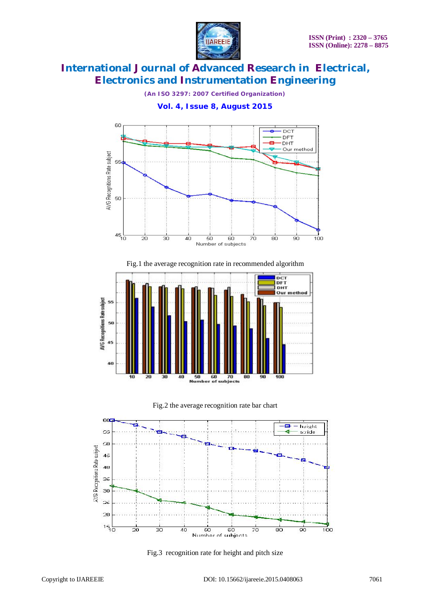

*(An ISO 3297: 2007 Certified Organization)*

**Vol. 4, Issue 8, August 2015**



Fig.1 the average recognition rate in recommended algorithm







Fig.3 recognition rate for height and pitch size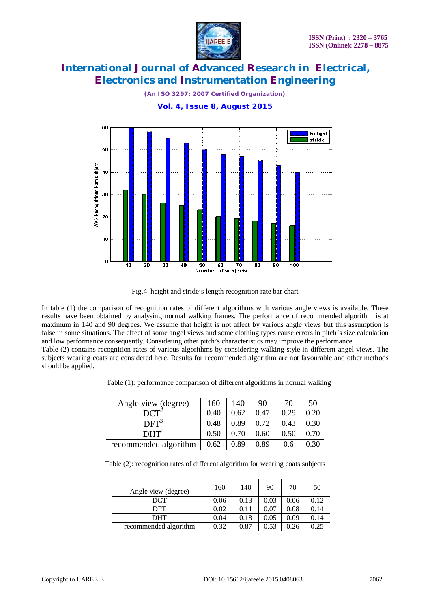

*(An ISO 3297: 2007 Certified Organization)*



Fig.4 height and stride's length recognition rate bar chart

In table (1) the comparison of recognition rates of different algorithms with various angle views is available. These results have been obtained by analysing normal walking frames. The performance of recommended algorithm is at maximum in 140 and 90 degrees. We assume that height is not affect by various angle views but this assumption is false in some situations. The effect of some angel views and some clothing types cause errors in pitch's size calculation and low performance consequently. Considering other pitch's characteristics may improve the performance. Table (2) contains recognition rates of various algorithms by considering walking style in different angel views. The

subjects wearing coats are considered here. Results for recommended algorithm are not favourable and other methods should be applied.

Table (1): performance comparison of different algorithms in normal walking

| Angle view (degree)   | 160  | 140  | 90   | 70   | 50   |
|-----------------------|------|------|------|------|------|
|                       | 0.40 | 0.62 | 0.47 | 0.29 | 0.20 |
| $\mathrm{DFT}^3$      | 0.48 | 0.89 | 0.72 | 0.43 | 0.30 |
| $\mathrm{DHT}^4$      | 0.50 | 0.70 | 0.60 | 0.50 | 0.70 |
| recommended algorithm | 0.62 | 0.89 | 0.89 | 0.6  | 0.30 |

Table (2): recognition rates of different algorithm for wearing coats subjects

| Angle view (degree)   | 160  | 140  | 90   | 70   | 50   |
|-----------------------|------|------|------|------|------|
| DCT                   | 0.06 | 0.13 | 0.03 | 0.06 | 0.12 |
| DFT                   | 0.02 | 0.11 | 0.07 | 0.08 | 0.14 |
| <b>DHT</b>            | 0.04 | 0.18 | 0.05 | 0.09 | 0.14 |
| recommended algorithm | 0.32 | 0.87 | 0.53 | 0.26 | 0.25 |

 $\overline{a}$